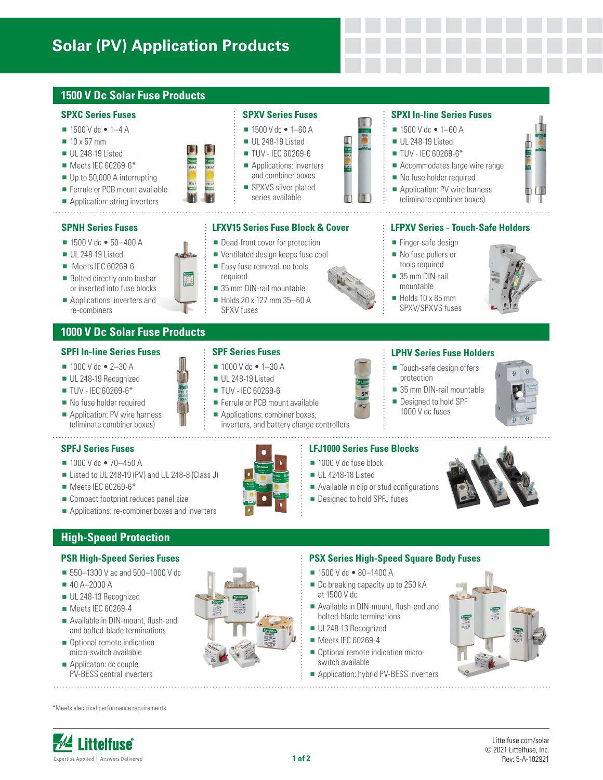# **Solar (PV) Application Products**

# **1500 V Dc Solar Fuse Products**

### **SPXC Series Fuses**

- $1500$  V dc  $\bullet$  1–4 A
- $10 \times 57$  mm
- UL 248-19 Listed
- Meets IEC 60269-6\*
- Up to 50,000 A interrupting
- Ferrule or PCB mount available
- **Application: string inverters**

### **SPNH Series Fuses**

- $= 1500$  V dc  $\bullet$  50-400 A
- UL 248-19 Listed
- Meets IEC 60269-6
- Bolted directly onto busbar or inserted into fuse blocks
- **Applications: inverters and** re-combiners

# **1000 V Dc Solar Fuse Products**

# **SPFI In-line Series Fuses**

- $1000$  V dc  $\bullet$  2-30 A
- UL 248-19 Recognized
- **TUV IEC 60269-6\***
- No fuse holder required
- Application: PV wire harness (eliminate combiner boxes)

### **SPFJ Series Fuses**

- $1000 \text{ V}$  dc  $\bullet$  70-450 A
- Listed to UL 248-19 (PV) and UL 248-8 (Class J)
- Meets IEC 60269-6\*
- Compact footprint reduces panel size
- **Applications: re-combiner boxes and inverters**

# **High-Speed Protection**

### **PSR High-Speed Series Fuses**

- 550–1300 V ac and 500–1000 V dc
- 40 A–2000 A
- UL 248-13 Recognized
- Meets IEC 60269-4
- Available in DIN-mount, flush-end and bolted-blade terminations
- Optional remote indication micro-switch available
- Applicaton: dc couple PV-BESS central inverters

\*Meets electrical performance requirements

# **SPXV Series Fuses**

- $1500$  V dc  $\bullet$  1–60 A
- UL 248-19 Listed **TUV - IEC 60269-6**
- **Applications: inverters** and combiner boxes
- SPXVS silver-plated series available

### **LFXV15 Series Fuse Block & Cover**

- Dead-front cover for protection
- Ventilated design keeps fuse cool
- Easy fuse removal, no tools required
- 35 mm DIN-rail mountable Holds 20 x 127 mm 35–60 A



# **SPXI In-line Series Fuses**

- $1500$  V dc  $\bullet$  1–60 A
- $\blacksquare$  UL 248-19 Listed
- **TUV IEC 60269-6\***
- Accommodates large wire range
- No fuse holder required
- Application: PV wire harness (eliminate combiner boxes)

### **LFPXV Series - Touch-Safe Holders**

- $\blacksquare$  Finger-safe design
- No fuse pullers or tools required
- 35 mm DIN-rail mountable
- $\blacksquare$  Holds 10 x 85 mm SPXV/SPXVS fuses



# **LPHV Series Fuse Holders**

- Touch-safe design offers protection
- 35 mm DIN-rail mountable Designed to hold SPF

### **LFJ1000 Series Fuse Blocks**

- 1000 V dc fuse block
- **UL 4248-18 Listed**
- Available in clip or stud configurations
- **Designed to hold SPFJ fuses**



### **PSX Series High-Speed Square Body Fuses**

- 1500 V dc 80-1400 A
- Dc breaking capacity up to 250 kA at 1500 V dc
- Available in DIN-mount, flush-end and bolted-blade terminations
- UL248-13 Recognized
- Meets IEC 60269-4
- Optional remote indication microswitch available
- Application: hybrid PV-BESS inverters





SPXV fuses

- **TUV IEC 60269-6**
- Ferrule or PCB mount available Applications: combiner boxes,

inverters, and battery charge controllers









1000 V dc fuses